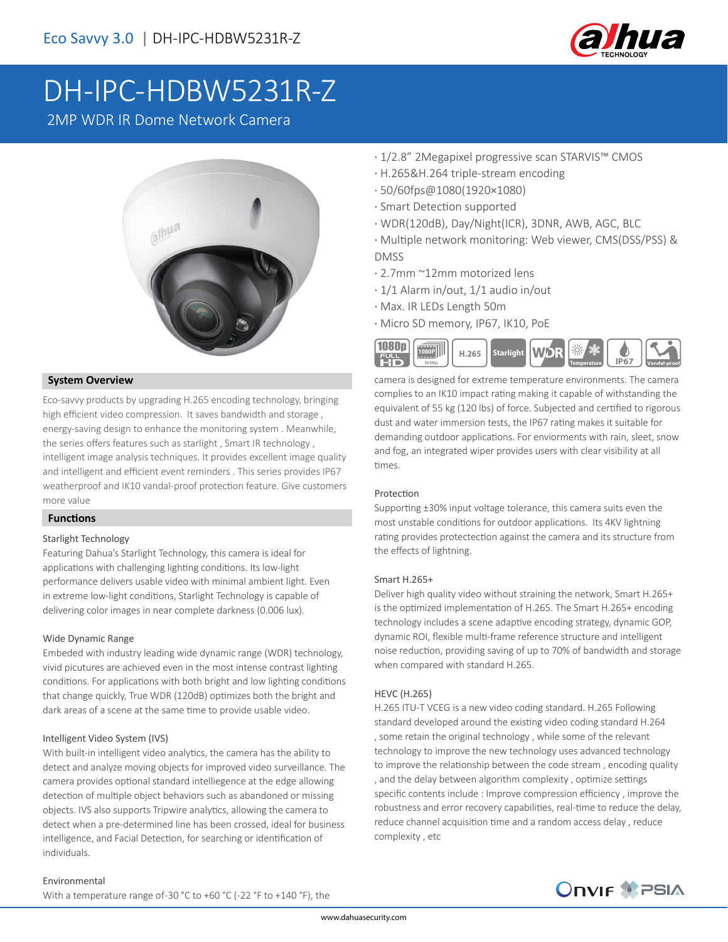

# [DH-IPC-HDBW5231R-Z](https://www.ultramaster.ro/supraveghere-video.html)

2MP WDR IR Dome Network Camera



### **System Overview**

Eco-savvy products by upgrading H.265 encoding technology, bringing high efficient video compression. It saves bandwidth and storage , energy-saving design to enhance the monitoring system . Meanwhile, the series offers features such as starlight , Smart IR technology , intelligent image analysis techniques. It provides excellent image quality and intelligent and efficient event reminders . This series provides IP67 weatherproof and IK10 vandal-proof protection feature. Give customers more value

#### **Functions**

#### Starlight Technology

Featuring Dahua's Starlight Technology, this camera is ideal for applications with challenging lighting conditions. Its low-light performance delivers usable video with minimal ambient light. Even in extreme low-light conditions, Starlight Technology is capable of delivering color images in near complete darkness (0.006 lux).

#### Wide Dynamic Range

Embeded with industry leading wide dynamic range (WDR) technology, vivid picutures are achieved even in the most intense contrast lighting conditions. For applications with both bright and low lighting conditions that change quickly, True WDR (120dB) optimizes both the bright and dark areas of a scene at the same time to provide usable video.

#### Intelligent Video System (IVS)

With built-in intelligent video analytics, the camera has the ability to detect and analyze moving objects for improved video surveillance. The camera provides optional standard intelliegence at the edge allowing detection of multiple object behaviors such as abandoned or missing objects. IVS also supports Tripwire analytics, allowing the camera to detect when a pre-determined line has been crossed, ideal for business intelligence, and Facial Detection, for searching or identification of individuals.

#### Environmental

With a temperature range of -30 °C to +60 °C (-22 °F to +140 °F), the

- · 1/2.8" 2Megapixel progressive scan STARVIS™ CMOS
- · H.265&H.264 triple-stream encoding
- · 50/60fps@1080(1920×1080)
- · Smart Detection supported
- · WDR(120dB), Day/Night(ICR), 3DNR, AWB, AGC, BLC
- · Multiple network monitoring: Web viewer, CMS(DSS/PSS) & DMSS
- · 2.7mm ~12mm motorized lens
- · 1/1 Alarm in/out, 1/1 audio in/out
- · Max. IR LEDs Length 50m
- · Micro SD memory, IP67, IK10, PoE



camera is designed for extreme temperature environments. The camera complies to an IK10 impact rating making it capable of withstanding the equivalent of 55 kg (120 lbs) of force. Subjected and certified to rigorous dust and water immersion tests, the IP67 rating makes it suitable for demanding outdoor applications. For enviorments with rain, sleet, snow and fog, an integrated wiper provides users with clear visibility at all times.

#### Protection

Supporting ±30% input voltage tolerance, this camera suits even the most unstable conditions for outdoor applications. Its 4KV lightning rating provides protectection against the camera and its structure from the effects of lightning.

#### Smart H.265+

Deliver high quality video without straining the network, Smart H.265+ is the optimized implementation of H.265. The Smart H.265+ encoding technology includes a scene adaptive encoding strategy, dynamic GOP, dynamic ROI, flexible multi-frame reference structure and intelligent noise reduction, providing saving of up to 70% of bandwidth and storage when compared with standard H.265.

#### HEVC (H.265)

H.265 ITU-T VCEG is a new video coding standard. H.265 Following standard developed around the existing video coding standard H.264 , some retain the original technology , while some of the relevant technology to improve the new technology uses advanced technology to improve the relationship between the code stream , encoding quality , and the delay between algorithm complexity , optimize settings specific contents include : Improve compression efficiency , improve the robustness and error recovery capabilities, real-time to reduce the delay, reduce channel acquisition time and a random access delay , reduce complexity , etc

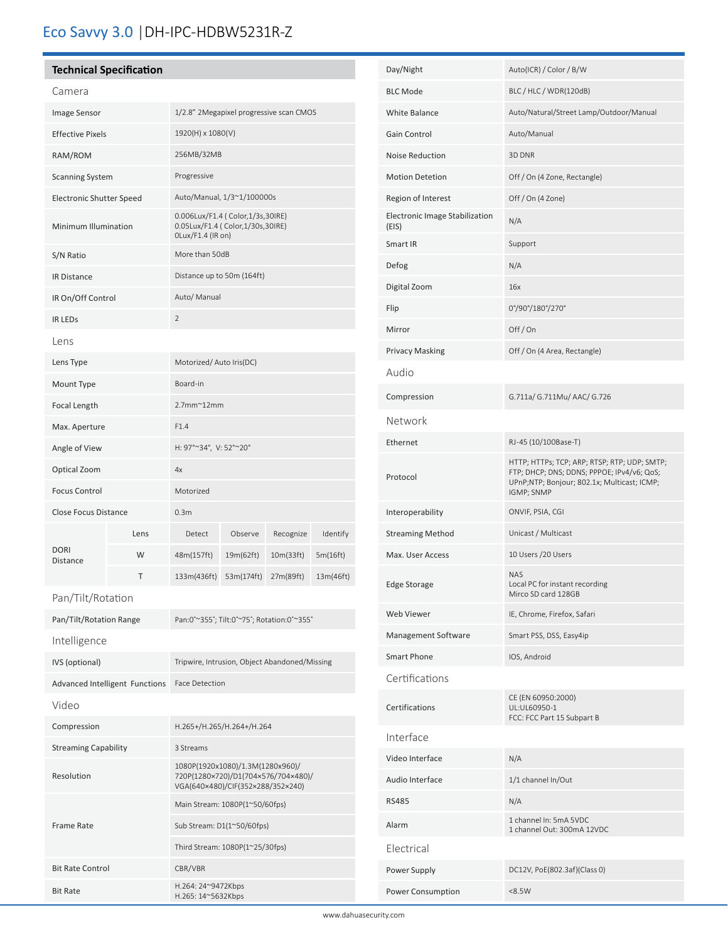# Eco Savvy 3.0 |DH-IPC-HDBW5231R-Z

# **Technical Specification**

| Camera                                              |      |                                                                                                 |                         |           |           |  |
|-----------------------------------------------------|------|-------------------------------------------------------------------------------------------------|-------------------------|-----------|-----------|--|
| Image Sensor                                        |      | 1/2.8" 2Megapixel progressive scan CMOS                                                         |                         |           |           |  |
| <b>Effective Pixels</b>                             |      | 1920(H) x 1080(V)                                                                               |                         |           |           |  |
| RAM/ROM                                             |      | 256MB/32MB                                                                                      |                         |           |           |  |
| <b>Scanning System</b>                              |      | Progressive                                                                                     |                         |           |           |  |
| <b>Electronic Shutter Speed</b>                     |      | Auto/Manual, 1/3~1/100000s                                                                      |                         |           |           |  |
| Minimum Illumination                                |      | 0.006Lux/F1.4 ( Color, 1/3s, 30IRE)<br>0.05Lux/F1.4 ( Color, 1/30s, 30IRE)<br>OLux/F1.4 (IR on) |                         |           |           |  |
| S/N Ratio                                           |      | More than 50dB                                                                                  |                         |           |           |  |
| <b>IR Distance</b>                                  |      | Distance up to 50m (164ft)                                                                      |                         |           |           |  |
| IR On/Off Control                                   |      | Auto/ Manual                                                                                    |                         |           |           |  |
| <b>IR LEDS</b>                                      |      | $\overline{2}$                                                                                  |                         |           |           |  |
| Lens                                                |      |                                                                                                 |                         |           |           |  |
| Lens Type                                           |      |                                                                                                 | Motorized/Auto Iris(DC) |           |           |  |
| Mount Type                                          |      | Board-in                                                                                        |                         |           |           |  |
| Focal Length                                        |      | $2.7$ mm $^{\sim}$ 12mm                                                                         |                         |           |           |  |
| Max. Aperture                                       |      | F1.4                                                                                            |                         |           |           |  |
| Angle of View                                       |      | H: 97°~34°, V: 52°~20°                                                                          |                         |           |           |  |
| Optical Zoom                                        |      | 4x                                                                                              |                         |           |           |  |
| <b>Focus Control</b><br><b>Close Focus Distance</b> |      | Motorized                                                                                       |                         |           |           |  |
|                                                     |      | 0.3 <sub>m</sub>                                                                                |                         |           |           |  |
|                                                     | Lens | Detect                                                                                          | Observe                 | Recognize | Identify  |  |
| <b>DORI</b><br><b>Distance</b>                      | W    | 48m(157ft)                                                                                      | 19m(62ft)               | 10m(33ft) | 5m(16ft)  |  |
|                                                     | т    | 133m(436ft)                                                                                     | 53m(174ft)              | 27m(89ft) | 13m(46ft) |  |
| Pan/Tilt/Rotation                                   |      |                                                                                                 |                         |           |           |  |

| Pan/Tilt/Rotation Range        | Pan:0°~355°; Tilt:0°~75°; Rotation:0°~355°                                                                   |  |
|--------------------------------|--------------------------------------------------------------------------------------------------------------|--|
| Intelligence                   |                                                                                                              |  |
| IVS (optional)                 | Tripwire, Intrusion, Object Abandoned/Missing                                                                |  |
| Advanced Intelligent Functions | <b>Face Detection</b>                                                                                        |  |
| Video                          |                                                                                                              |  |
| Compression                    | H.265+/H.265/H.264+/H.264                                                                                    |  |
| <b>Streaming Capability</b>    | 3 Streams                                                                                                    |  |
| Resolution                     | 1080P(1920x1080)/1.3M(1280x960)/<br>720P(1280×720)/D1(704×576/704×480)/<br>VGA(640×480)/CIF(352×288/352×240) |  |
|                                | Main Stream: 1080P(1~50/60fps)                                                                               |  |
| Frame Rate                     | Sub Stream: D1(1~50/60fps)                                                                                   |  |
|                                | Third Stream: 1080P(1~25/30fps)                                                                              |  |
| <b>Bit Rate Control</b>        | CBR/VBR                                                                                                      |  |
| <b>Bit Rate</b>                | H.264: 24~9472Kbps<br>H.265: 14~5632Kbps                                                                     |  |

í

| Day/Night                               | Auto(ICR) / Color / B/W                                                                                                                                 |  |  |  |
|-----------------------------------------|---------------------------------------------------------------------------------------------------------------------------------------------------------|--|--|--|
| <b>BLC Mode</b>                         | BLC / HLC / WDR(120dB)                                                                                                                                  |  |  |  |
| <b>White Balance</b>                    | Auto/Natural/Street Lamp/Outdoor/Manual                                                                                                                 |  |  |  |
| Gain Control                            | Auto/Manual                                                                                                                                             |  |  |  |
| <b>Noise Reduction</b>                  | 3D DNR                                                                                                                                                  |  |  |  |
| <b>Motion Detetion</b>                  | Off / On (4 Zone, Rectangle)                                                                                                                            |  |  |  |
| Region of Interest                      | Off / On (4 Zone)                                                                                                                                       |  |  |  |
| Electronic Image Stabilization<br>(EIS) | N/A                                                                                                                                                     |  |  |  |
| Smart IR                                | Support                                                                                                                                                 |  |  |  |
| Defog                                   | N/A                                                                                                                                                     |  |  |  |
| Digital Zoom                            | 16x                                                                                                                                                     |  |  |  |
| Flip                                    | 0°/90°/180°/270°                                                                                                                                        |  |  |  |
| Mirror                                  | Off/On                                                                                                                                                  |  |  |  |
| <b>Privacy Masking</b>                  | Off / On (4 Area, Rectangle)                                                                                                                            |  |  |  |
| Audio                                   |                                                                                                                                                         |  |  |  |
| Compression                             | G.711a/ G.711Mu/ AAC/ G.726                                                                                                                             |  |  |  |
| Network                                 |                                                                                                                                                         |  |  |  |
| Ethernet                                | RJ-45 (10/100Base-T)                                                                                                                                    |  |  |  |
| Protocol                                | HTTP; HTTPs; TCP; ARP; RTSP; RTP; UDP; SMTP;<br>FTP; DHCP; DNS; DDNS; PPPOE; IPv4/v6; QoS;<br>UPnP;NTP; Bonjour; 802.1x; Multicast; ICMP;<br>IGMP; SNMP |  |  |  |
| Interoperability                        | ONVIF, PSIA, CGI                                                                                                                                        |  |  |  |
| <b>Streaming Method</b>                 | Unicast / Multicast                                                                                                                                     |  |  |  |
| Max. User Access                        | 10 Users / 20 Users                                                                                                                                     |  |  |  |
| <b>Edge Storage</b>                     | <b>NAS</b><br>Local PC for instant recording<br>Mirco SD card 128GB                                                                                     |  |  |  |
| <b>Web Viewer</b>                       | IE, Chrome, Firefox, Safari                                                                                                                             |  |  |  |
| Management Software                     | Smart PSS, DSS, Easy4ip                                                                                                                                 |  |  |  |
| Smart Phone                             | IOS, Android                                                                                                                                            |  |  |  |
| Certifications                          |                                                                                                                                                         |  |  |  |
| Certifications                          | CE (EN 60950:2000)<br>UL:UL60950-1<br>FCC: FCC Part 15 Subpart B                                                                                        |  |  |  |
| Interface                               |                                                                                                                                                         |  |  |  |
| Video Interface                         | N/A                                                                                                                                                     |  |  |  |
| Audio Interface                         | 1/1 channel In/Out                                                                                                                                      |  |  |  |
| <b>RS485</b>                            | N/A                                                                                                                                                     |  |  |  |
| Alarm                                   | 1 channel In: 5mA 5VDC<br>1 channel Out: 300mA 12VDC                                                                                                    |  |  |  |
| Electrical                              |                                                                                                                                                         |  |  |  |
| Power Supply                            | DC12V, PoE(802.3af)(Class 0)                                                                                                                            |  |  |  |
| Power Consumption                       | < 8.5W                                                                                                                                                  |  |  |  |